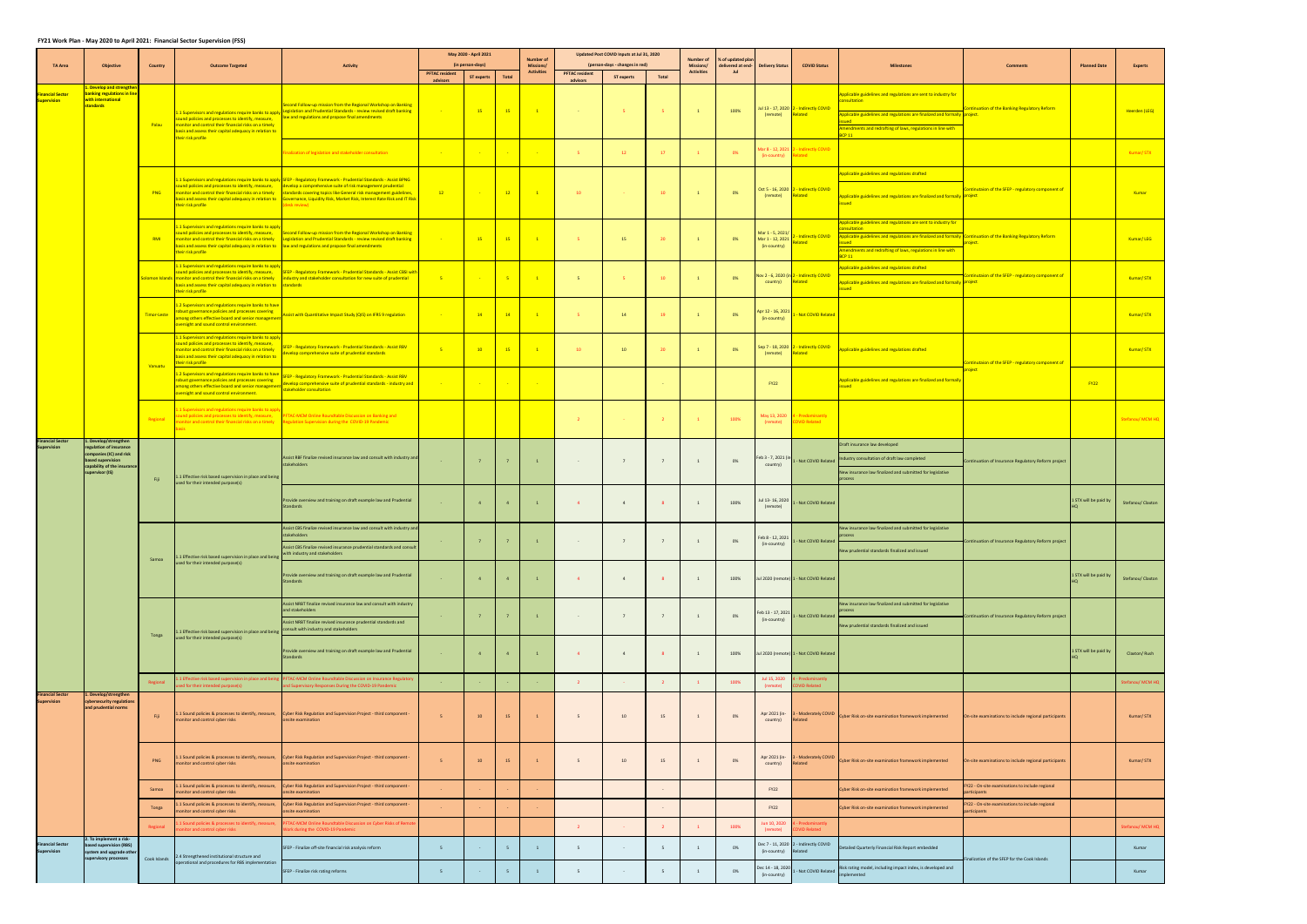## **FY21 Work Plan ‐ May 2020 to April 2021: Financial Sector Supervision (FSS)**

|                                               |                                                                                                                                          |              |                                                                                                                                                                                                                                                                      |                                                                                                                                                                                                                                                                                                                                                    |                                   | May 2020 - April 2021                 |                | <b>Number of</b>                      |                                   | Updated Post COVID Inputs at Jul 31, 2020    |                | Number of                      | % of updated pla |                                                      |                                                  |                                                                                                                                                                                                                                                                     |                                                               |                       |                   |
|-----------------------------------------------|------------------------------------------------------------------------------------------------------------------------------------------|--------------|----------------------------------------------------------------------------------------------------------------------------------------------------------------------------------------------------------------------------------------------------------------------|----------------------------------------------------------------------------------------------------------------------------------------------------------------------------------------------------------------------------------------------------------------------------------------------------------------------------------------------------|-----------------------------------|---------------------------------------|----------------|---------------------------------------|-----------------------------------|----------------------------------------------|----------------|--------------------------------|------------------|------------------------------------------------------|--------------------------------------------------|---------------------------------------------------------------------------------------------------------------------------------------------------------------------------------------------------------------------------------------------------------------------|---------------------------------------------------------------|-----------------------|-------------------|
| <b>TA Area</b>                                | <b>Objective</b>                                                                                                                         | Country      | <b>Outcome Targeted</b>                                                                                                                                                                                                                                              | Activity                                                                                                                                                                                                                                                                                                                                           | <b>PFTAC resident</b><br>advisors | (in person-days)<br><b>ST experts</b> | Total          | <b>Missions/</b><br><b>Activities</b> | <b>PFTAC resident</b><br>advisors | (person-days - changes in red)<br>ST experts | Total          | Missions/<br><b>Activities</b> | Jul              | delivered at end- Delivery Status                    | <b>COVID Status</b>                              | Milestones                                                                                                                                                                                                                                                          | Comments                                                      | <b>Planned Date</b>   | <b>Experts</b>    |
| inancial Sector<br><b>Supervision</b>         | <b>Develop and strength</b><br>banking regulations in line<br>with international<br>standards                                            | Palau        | 1.1 Supervisors and regulations require banks to apply<br>sound policies and processes to identify, measure,<br>monitor and control their financial risks on a timely                                                                                                | cond Follow-up mission from the Regional Workshop on Banking<br>Legislation and Prudential Standards - review revised draft banking<br>law and regulations and propose final amendments                                                                                                                                                            |                                   | $-15$                                 | 15             | $\sim$ 1.                             | <b>Contract</b>                   | $-5$                                         | - 5 -          | $\overline{1}$                 | 100%             | Jul 13 - 17, 2020<br>(remote)                        | 2 - Indirectly COVID<br><b>Related</b>           | pplicable guidelines and regulations are sent to industry for<br><b>sultation</b><br>pplicable guidelines and regulations are finalized and formally project.<br>Amendments and redrafting of laws, regulations in line with                                        | Intinuation of the Banking Regulatory Reform                  |                       | Heerden (LEG)     |
|                                               |                                                                                                                                          |              | basis and assess their capital adequacy in relation to<br>their risk profile                                                                                                                                                                                         | nalization of legislation and stakeholder consultation                                                                                                                                                                                                                                                                                             |                                   |                                       | $\sim$         | <b>Contract</b>                       | - 5 -                             | 12                                           | 17             |                                | 0%               | Mar 8 - 12, 2021<br>(in-country)                     | <b>Indirectly COVID</b><br>alated                | <b>BCP 11</b>                                                                                                                                                                                                                                                       |                                                               |                       | Kumar/STX         |
|                                               |                                                                                                                                          | <b>PNG</b>   | bund policies and processes to identify, measure,<br>monitor and control their financial risks on a timely<br>basis and assess their capital adequacy in relation to<br>their risk profile                                                                           | 1.1 Supervisors and regulations require banks to apply SFEP - Regulatory Framework - Prudential Standards - Assist BPNG<br>evelop a comprehensive suite of risk management prudential<br>andards covering topics like General risk management guidelines,<br>overnance, Liquidity Risk, Market Risk, Interest Rate Risk and IT Risk<br>esk review) | $-12$                             |                                       | 12             | $\sim$ $\sim$ $\sim$                  | 10                                |                                              | 10             |                                | 0%               | (remote)                                             | Oct 5 - 16, 2020 2 - Indirectly COVID<br>Related | oplicable guidelines and regulations drafted<br>Applicable guidelines and regulations are finalized and formally <b>project</b><br>sued                                                                                                                             | ntinutaion of the SFEP - regulatory component of              |                       | Kumar             |
|                                               |                                                                                                                                          | <b>RMI</b>   | .1 Supervisors and regulations require banks to appl<br>monitor and control their financial risks on a timely<br>basis and assess their capital adequacy in relation to law and regulations and propose final amendments<br>heir risk profile                        | sound policies and processes to identify, measure, Second Follow-up mission from the Regional Workshop on Banking<br>Legislation and Prudential Standards - review revised draft banking                                                                                                                                                           |                                   | $-15$                                 | 15             | $\sim$ $1$                            | $-5$                              | 15                                           | 20             |                                | 0%               | Mar 1 - 5, 2021/<br>Mar 1 - 12, 2021<br>(in-country) | <b>Indirectly COVID</b><br>ated                  | Applicable guidelines and regulations are sent to industry for<br>cultation<br>Applicable guidelines and regulations are finalized and formally Continuation of the Banking Regulatory Reform<br>mendments and redrafting of laws, regulations in line with<br>CPT1 | piect                                                         |                       | Kumar/LEG         |
|                                               |                                                                                                                                          |              | 1.1 Supervisors and regulations require banks to appl<br>sound policies and processes to identify, measure,<br>iolomon Islands monitor and control their financial risks on a timely<br>basis and assess their capital adequacy in relation to<br>their risk profile | SFEP - Regulatory Framework - Prudential Standards - Assist CBSI with<br>dustry and stakeholder consultation for new suite of prudential<br>andards                                                                                                                                                                                                | $-5$                              |                                       | $-5$           | $\sim$ 1                              | $-5$                              | $-5$                                         | 10             |                                | 0%               | Nov 2 - 6, 2020 (in 2<br>country)                    | 2 - Indirectly COVID<br>elated                   | pplicable guidelines and regulations drafted<br>pplicable guidelines and regulations are finalized and formally project                                                                                                                                             | ontinutaion of the SFEP - regulatory component of             |                       | Kumar/STX         |
|                                               |                                                                                                                                          | Timor-Leste  | 1.2 Supervisors and regulations require banks to have<br>robust governance policies and processes covering<br>among others effective board and senior management<br>wersight and sound control environment.                                                          | Assist with Quantitative Impact Study (QIS) on IFRS 9 regulation                                                                                                                                                                                                                                                                                   |                                   | 14                                    | 14             | $-1$                                  | $-5$                              | 14                                           | 19             | $\mathbf{1}$                   | 0%               | Apr 12 - 16, 2021<br>(in-country)                    | <b>Not COVID Related</b>                         |                                                                                                                                                                                                                                                                     |                                                               |                       | Kumar/STX         |
|                                               |                                                                                                                                          | Vanuatu      | 1.1 Supervisors and regulations require banks to appl<br>ound policies and processes to identify, measure,<br>nonitor and control their financial risks on a timely<br>basis and assess their capital adequacy in relation to<br>their risk profile                  | FEP - Regulatory Framework - Prudential Standards - Assist RBV<br>velop comprehensive suite of prudential standards                                                                                                                                                                                                                                | $-5$                              | 10 <sup>°</sup>                       | 15             | $\blacksquare$                        | 10                                | 10                                           | 20             |                                | 0%               | (remote)                                             | Sep 7 - 18, 2020 2 - Indirectly COVID<br>Related | <b>Applicable guidelines and regulations drafted</b>                                                                                                                                                                                                                | Continutaion of the SFEP - regulatory component of<br>roiect  |                       | Kumar/STX         |
|                                               |                                                                                                                                          |              | 2 Supervisors and regulations require banks to have<br>obust governance policies and processes covering<br>mong others effective board and senior management<br>wersight and sound control environment.                                                              | SFEP - Regulatory Framework - Prudential Standards - Assist RBV<br>evelop comprehensive suite of prudential standards - industry and<br>stakeholder consultation                                                                                                                                                                                   |                                   |                                       |                | <b>Contract</b>                       |                                   |                                              |                |                                |                  | <b>FY22</b>                                          |                                                  | Applicable guidelines and regulations are finalized and formally<br>heuz                                                                                                                                                                                            |                                                               | <b>FY22</b>           |                   |
|                                               |                                                                                                                                          | Regional     | 1.1 Supervisors and regulations require banks to app<br>sound policies and processes to identify, measure,<br>monitor and control their financial risks on a timely                                                                                                  | FTAC-MCM Online Roundtable Discussion on Banking and<br><b>Regulation Supervision during the COVID-19 Pandemic</b>                                                                                                                                                                                                                                 |                                   |                                       |                |                                       | $\overline{2}$                    |                                              |                |                                | 100%             | May 13, 2020<br>(remote)                             | Predominantly<br><b>OVID Related</b>             |                                                                                                                                                                                                                                                                     |                                                               |                       | Stefanou/MCM HQ   |
| <b>Financial Sector</b><br>unervision         | Develop/strengthen<br>gulation of insurance<br>mpanies (IC) and risk<br>ased supervision<br>apability of the insurance<br>upervisor (IS) | Fiji         | 1.1 Effective risk based supervision in place and being<br>used for their intended purpose(s)                                                                                                                                                                        | Assist RBF finalize revised insurance law and consult with industry and<br>stakeholders                                                                                                                                                                                                                                                            |                                   | $\overline{7}$                        | $7^{\circ}$    | $\overline{1}$                        | $\sim$                            | 7                                            | $\overline{7}$ |                                | 0%               | Feb 3 - 7, 2021 (in-<br>country)                     |                                                  | Draft insurance law developed<br>1 - Not COVID Related Industry consultation of draft law completed<br>New insurance law finalized and submitted for legislative                                                                                                    | ontinuation of Insurance Regulatory Reform project            |                       |                   |
|                                               |                                                                                                                                          |              |                                                                                                                                                                                                                                                                      | Provide overview and training on draft example law and Prudential<br><b>Standards</b>                                                                                                                                                                                                                                                              |                                   | $\overline{a}$                        | $\overline{4}$ | $\mathbf{1}$                          | $\overline{a}$                    | $\overline{4}$                               | -8             | $\mathbf{1}$                   | 100%             | Jul 13-16, 2020<br>(remote)                          | - Not COVID Related                              |                                                                                                                                                                                                                                                                     |                                                               | 1 STX will be paid by | Stefanou/ Claxton |
|                                               |                                                                                                                                          |              | 1.1 Effective risk based supervision in place and being                                                                                                                                                                                                              | ssist CBS finalize revised insurance law and consult with industry and<br>Assist CBS finalize revised insurance prudential standards and consult<br>with industry and stakeholders                                                                                                                                                                 |                                   | 7                                     |                | $\mathbf{1}$                          |                                   | 7 <sup>7</sup>                               | 7              | <sup>1</sup>                   | 0%               | eb 8 - 12, 2021<br>(in-country)                      | - Not COVID Related                              | New insurance law finalized and submitted for legislative<br>New prudential standards finalized and issued                                                                                                                                                          | Continuation of Insurance Regulatory Reform project           |                       |                   |
|                                               |                                                                                                                                          | Samoa        | used for their intended purpose(s)                                                                                                                                                                                                                                   | Provide overview and training on draft example law and Prudential<br><b>Standards</b>                                                                                                                                                                                                                                                              |                                   | $\sim$ 4                              | $\overline{4}$ | $\mathbf{1}$                          | $-4$                              | $\overline{4}$                               | - 8            | <sup>1</sup>                   | 100%             |                                                      | Jul 2020 (remote) 1 - Not COVID Related          |                                                                                                                                                                                                                                                                     |                                                               | 1 STX will be paid by | Stefanou/ Claxton |
|                                               |                                                                                                                                          |              |                                                                                                                                                                                                                                                                      | ssist NRBT finalize revised insurance law and consult with industry<br>and stakeholders                                                                                                                                                                                                                                                            |                                   |                                       |                |                                       |                                   |                                              |                |                                |                  | Feb 13 - 17, 2021                                    |                                                  | lew insurance law finalized and submitted for legislative                                                                                                                                                                                                           |                                                               |                       |                   |
|                                               |                                                                                                                                          |              |                                                                                                                                                                                                                                                                      | Assist NRBT finalize revised insurance prudential standards and<br>consult with industry and stakeholders                                                                                                                                                                                                                                          |                                   | $\overline{7}$                        | 7 <sup>7</sup> | $\mathbf{1}$                          | $\sim 10^{-11}$                   | 7                                            | $\overline{7}$ | 1                              | 0%               | (in-country)                                         | Not COVID Related                                | New prudential standards finalized and issued                                                                                                                                                                                                                       | ntinuation of Insurance Regulatory Reform project             |                       |                   |
|                                               |                                                                                                                                          | Tonga        | 1.1 Effective risk based supervision in place and being<br>used for their intended purpose(s)                                                                                                                                                                        | Provide overview and training on draft example law and Prudential<br><b>Standards</b>                                                                                                                                                                                                                                                              |                                   | $\overline{4}$                        | 4              | $\overline{1}$                        | $\sim$                            | $\overline{4}$                               | 8              | $\mathbf{1}$                   | 100%             |                                                      | Jul 2020 (remote) 1 - Not COVID Related          |                                                                                                                                                                                                                                                                     |                                                               | 1 STX will be paid by | Claxton/Rush      |
|                                               |                                                                                                                                          | Regional     | L Effective risk based supervision in place and bein<br>ed for their intended purpose(s)                                                                                                                                                                             | TAC-MCM Online Roundtable Discussion on Insurance Regulato<br>d Supervisory Responses During the COVID-19 Pandemic                                                                                                                                                                                                                                 |                                   |                                       |                |                                       | $\overline{2}$                    |                                              |                | $\mathbf{1}$                   | 100%             | Jul 15, 2020<br>(remote)                             | <b>ID Related</b>                                |                                                                                                                                                                                                                                                                     |                                                               |                       | tefanou/MCMHQ     |
| <b>Financial Sector</b><br><b>Supervision</b> | .Develop/strengthen<br>cybersecurity regulation<br>and prudential norms                                                                  | Fiji         | monitor and control cyber risks                                                                                                                                                                                                                                      | 1 Sound policies & processes to identify, measure, Cyber Risk Regulation and Supervision Project - third component -<br>onsite examination                                                                                                                                                                                                         | 5 <sup>1</sup>                    | 10                                    | 15             | $\mathbf{1}$                          | 5                                 | 10                                           | 15             | 1                              | 0%               | Apr 2021 (in-<br>country)                            | - Moderately COVID<br>Related                    | Cyber Risk on-site examination framework implemented                                                                                                                                                                                                                | On-site examinations to include regional participants         |                       | Kumar/STX         |
|                                               |                                                                                                                                          | PNG          | onitor and control cyber risks                                                                                                                                                                                                                                       | . 1 Sound policies & processes to identify, measure, Cyber Risk Regulation and Supervision Project - third component -<br>onsite examination                                                                                                                                                                                                       | 5 <sup>1</sup>                    | 10                                    | 15             | $\mathbf{1}$                          | 5                                 | 10                                           | 15             | 1                              | 0%               | Apr 2021 (in-<br>country)                            | - Moderately COVID<br>Related                    | Cyber Risk on-site examination framework implemented                                                                                                                                                                                                                | On-site examinations to include regional participants         |                       | Kumar/STX         |
|                                               |                                                                                                                                          | Samoa        | 1 Sound policies & processes to identify, measure,<br>onitor and control cyber risks                                                                                                                                                                                 | Cyber Risk Regulation and Supervision Project - third component -<br>nsite examination                                                                                                                                                                                                                                                             |                                   |                                       |                |                                       |                                   |                                              |                |                                |                  | FY22                                                 |                                                  | Cyber Risk on-site examination framework implemented                                                                                                                                                                                                                | Y22 - On-site examinations to include regional<br>articipants |                       |                   |
|                                               |                                                                                                                                          | Tonga        | I Sound policies & processes to identify, measure,<br>onitor and control cyber risks                                                                                                                                                                                 | Cyber Risk Regulation and Supervision Project - third component -<br>nsite examination                                                                                                                                                                                                                                                             |                                   |                                       |                |                                       |                                   |                                              |                |                                |                  | <b>FY22</b>                                          |                                                  | lyber Risk on-site examination framework implemented                                                                                                                                                                                                                | Y22 - On-site examinations to include regional<br>articipants |                       |                   |
|                                               |                                                                                                                                          | Regional     | L Sound policies & processes to identify, measure,<br>nitor and control cyber risks                                                                                                                                                                                  | TAC-MCM Online Roundtable Discussion on Cyber Risks of Remo<br>ork during the COVID-19 Pandemic                                                                                                                                                                                                                                                    |                                   |                                       |                |                                       | $\overline{2}$                    |                                              |                |                                | 100%             | Jun 10, 2020<br>(remote)                             |                                                  |                                                                                                                                                                                                                                                                     |                                                               |                       | tefanou/ MCM HQ   |
| <b>Financial Sector</b><br>Supervision        | . To implement a risk-<br>based supervision (RBS)<br>system and upgrade other<br>supervisory processes                                   | Cook Islands | 2.4 Strengthened institutional structure and<br>operational and procedures for RBS implementation                                                                                                                                                                    | SFEP - Finalize off-site financial risk analysis reform                                                                                                                                                                                                                                                                                            | $5 -$                             |                                       | 5              | $\mathbf{1}$                          | 5                                 | $\sim$                                       |                | 1                              | 0%               | Dec 7 - 11, 2020<br>(in-country)                     | - Indirectly COVID<br>elated                     | Detailed Quarterly Financial Risk Report embedded                                                                                                                                                                                                                   | nalization of the SFEP for the Cook Islands                   |                       | Kumar             |
|                                               |                                                                                                                                          |              |                                                                                                                                                                                                                                                                      | SFEP - Finalize risk rating reforms                                                                                                                                                                                                                                                                                                                | $5 -$                             | <b>Contract</b>                       | $5 -$          | $\mathbf{1}$                          | $5 -$                             | $\sim$                                       | 5 <sup>5</sup> | <sup>1</sup>                   | 0%               | Dec 14 - 18, 2020<br>(in-country)                    |                                                  | - Not COVID Related Risk rating model, including impact index, is developed and<br><b>ilemented</b>                                                                                                                                                                 |                                                               |                       | Kumar             |